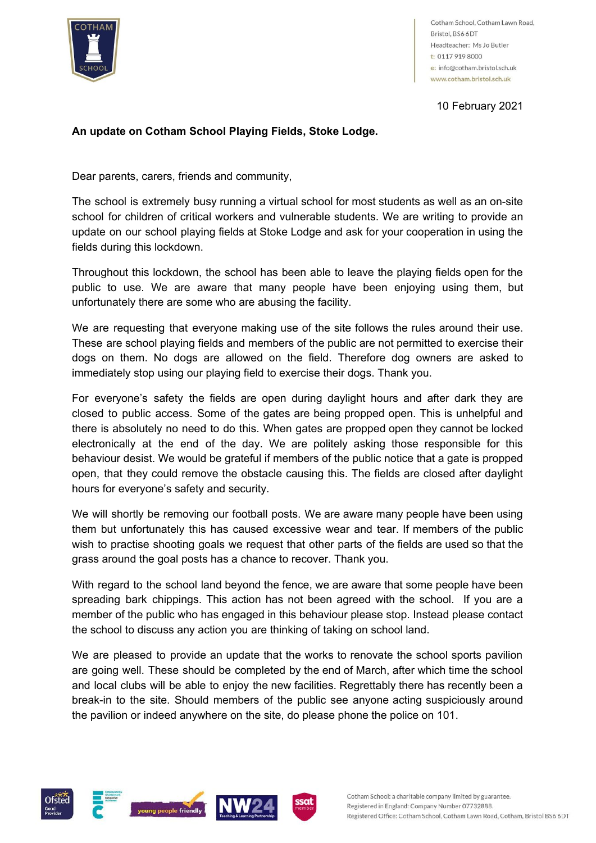

Cotham School, Cotham Lawn Road, Bristol, BS6 6DT Headteacher: Ms Jo Butler t: 0117 919 8000 e: info@cotham.bristol.sch.uk www.cotham.bristol.sch.uk

10 February 2021

## **An update on Cotham School Playing Fields, Stoke Lodge.**

Dear parents, carers, friends and community,

The school is extremely busy running a virtual school for most students as well as an on-site school for children of critical workers and vulnerable students. We are writing to provide an update on our school playing fields at Stoke Lodge and ask for your cooperation in using the fields during this lockdown.

Throughout this lockdown, the school has been able to leave the playing fields open for the public to use. We are aware that many people have been enjoying using them, but unfortunately there are some who are abusing the facility.

We are requesting that everyone making use of the site follows the rules around their use. These are school playing fields and members of the public are not permitted to exercise their dogs on them. No dogs are allowed on the field. Therefore dog owners are asked to immediately stop using our playing field to exercise their dogs. Thank you.

For everyone's safety the fields are open during daylight hours and after dark they are closed to public access. Some of the gates are being propped open. This is unhelpful and there is absolutely no need to do this. When gates are propped open they cannot be locked electronically at the end of the day. We are politely asking those responsible for this behaviour desist. We would be grateful if members of the public notice that a gate is propped open, that they could remove the obstacle causing this. The fields are closed after daylight hours for everyone's safety and security.

We will shortly be removing our football posts. We are aware many people have been using them but unfortunately this has caused excessive wear and tear. If members of the public wish to practise shooting goals we request that other parts of the fields are used so that the grass around the goal posts has a chance to recover. Thank you.

With regard to the school land beyond the fence, we are aware that some people have been spreading bark chippings. This action has not been agreed with the school. If you are a member of the public who has engaged in this behaviour please stop. Instead please contact the school to discuss any action you are thinking of taking on school land.

We are pleased to provide an update that the works to renovate the school sports pavilion are going well. These should be completed by the end of March, after which time the school and local clubs will be able to enjoy the new facilities. Regrettably there has recently been a break-in to the site. Should members of the public see anyone acting suspiciously around the pavilion or indeed anywhere on the site, do please phone the police on 101.